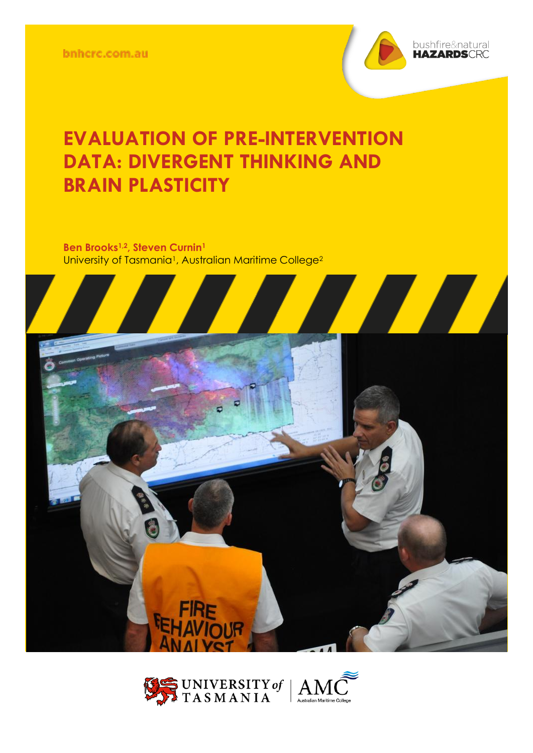bnhcrc.com.au



## **EVALUATION OF PRE-INTERVENTION DATA: DIVERGENT THINKING AND BRAIN PLASTICITY**

**Ben Brooks1,2, Steven Curnin<sup>1</sup>** University of Tasmania<sup>1</sup>, Australian Maritime College<sup>2</sup>





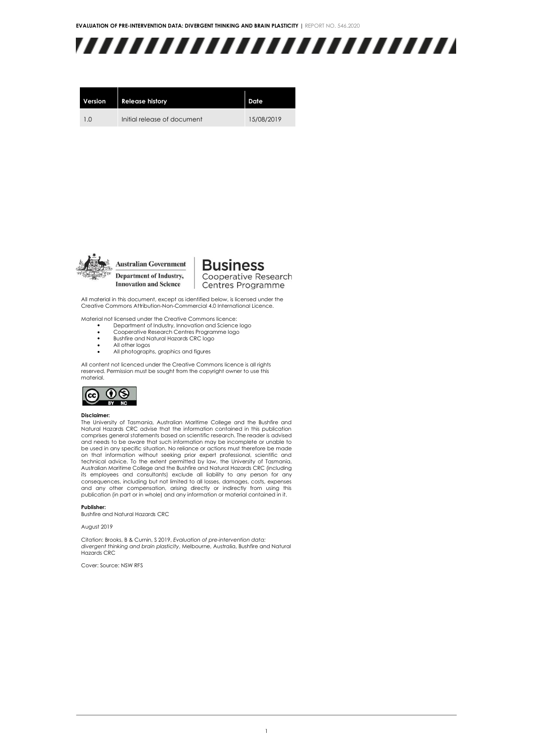

| Version        | <b>Release history</b>      | Date       |
|----------------|-----------------------------|------------|
| 1 <sub>0</sub> | Initial release of document | 15/08/2019 |



Department of Industry, **Innovation and Science** 

**Business** Cooperative Research Centres Programme

All material in this document, except as identified below, is licensed under the Creative Commons Attribution-Non-Commercial 4.0 International Licence.

Material not licensed under the Creative Commons licence:

- Department of Industry, Innovation and Science logo Cooperative Research Centres Programme logo
- Bushfire and Natural Hazards CRC logo
- All other logos
- All photographs, graphics and figures

All content not licenced under the Creative Commons licence is all rights reserved. Permission must be sought from the copyright owner to use this material.



#### **Disclaimer:**

The University of Tasmania, Australian Maritime College and the Bushfire and Natural Hazards CRC advise that the information contained in this publication comprises general statements based on scientific research. The reader is advised and needs to be aware that such information may be incomplete or unable to be used in any specific situation. No reliance or actions must therefore be made on that information without seeking prior expert professional, scientific and<br>technical advice. To the extent permitted by law, the University of Tasmania,<br>Australian Maritime College and the Bushfire and Natural Hazards C consequences, including but not limited to all losses, damages, costs, expenses and any other compensation, arising directly or indirectly from using this publication (in part or in whole) and any information or material contained in it.

**Publisher:**

Bushfire and Natural Hazards CRC

August 2019

Citation: Brooks, B & Curnin, S 2019, *Evaluation of pre-intervention data: divergent thinking and brain plasticity*, Melbourne, Australia, Bushfire and Natural Hazards CRC

Cover: Source: NSW RFS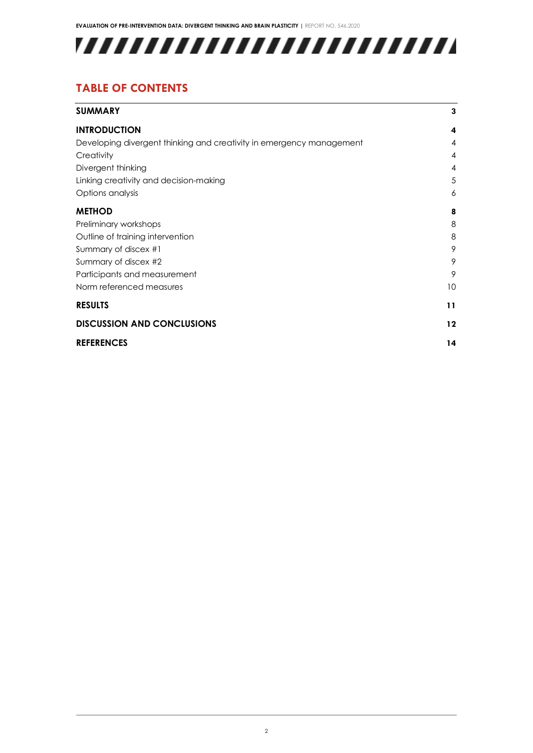

### **TABLE OF CONTENTS**

| <b>SUMMARY</b>                                                       | 3       |
|----------------------------------------------------------------------|---------|
| <b>INTRODUCTION</b>                                                  | 4       |
| Developing divergent thinking and creativity in emergency management | 4       |
| Creativity                                                           | 4       |
| Divergent thinking                                                   | 4       |
| Linking creativity and decision-making                               | 5       |
| Options analysis                                                     | 6       |
| <b>METHOD</b>                                                        | 8       |
| Preliminary workshops                                                | 8       |
| Outline of training intervention                                     | 8       |
| Summary of discex #1                                                 | 9       |
| Summary of discex #2                                                 | 9       |
| Participants and measurement                                         | 9       |
| Norm referenced measures                                             | 10      |
| <b>RESULTS</b>                                                       | 11      |
| <b>DISCUSSION AND CONCLUSIONS</b>                                    | $12 \,$ |
| <b>REFERENCES</b>                                                    | 14      |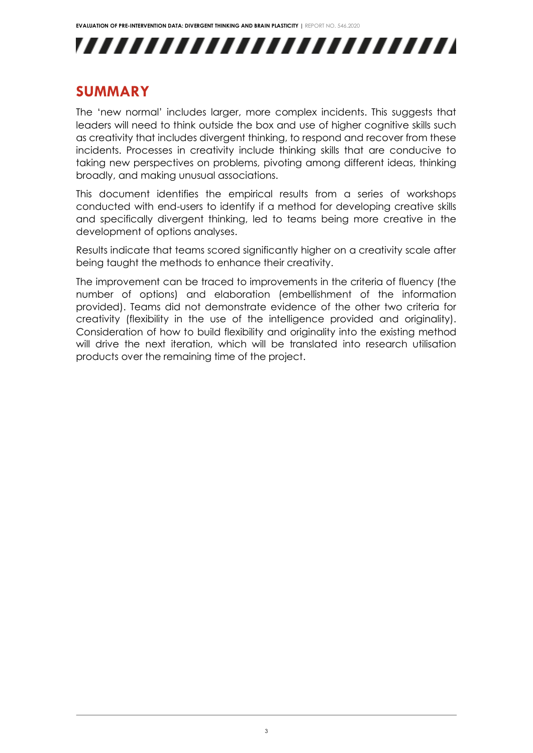## ,,,,,,,,,,,,,,,,,,,,,,,,,,

### <span id="page-3-0"></span>**SUMMARY**

The 'new normal' includes larger, more complex incidents. This suggests that leaders will need to think outside the box and use of higher cognitive skills such as creativity that includes divergent thinking, to respond and recover from these incidents. Processes in creativity include thinking skills that are conducive to taking new perspectives on problems, pivoting among different ideas, thinking broadly, and making unusual associations.

This document identifies the empirical results from a series of workshops conducted with end-users to identify if a method for developing creative skills and specifically divergent thinking, led to teams being more creative in the development of options analyses.

Results indicate that teams scored significantly higher on a creativity scale after being taught the methods to enhance their creativity.

The improvement can be traced to improvements in the criteria of fluency (the number of options) and elaboration (embellishment of the information provided). Teams did not demonstrate evidence of the other two criteria for creativity (flexibility in the use of the intelligence provided and originality). Consideration of how to build flexibility and originality into the existing method will drive the next iteration, which will be translated into research utilisation products over the remaining time of the project.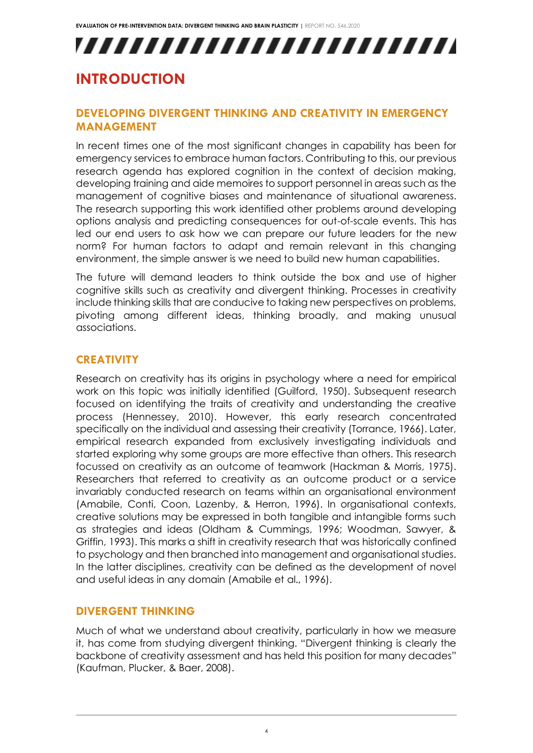## <span id="page-4-1"></span><span id="page-4-0"></span>**INTRODUCTION**

#### **DEVELOPING DIVERGENT THINKING AND CREATIVITY IN EMERGENCY MANAGEMENT**

In recent times one of the most significant changes in capability has been for emergency services to embrace human factors. Contributing to this, our previous research agenda has explored cognition in the context of decision making, developing training and aide memoires to support personnel in areas such as the management of cognitive biases and maintenance of situational awareness. The research supporting this work identified other problems around developing options analysis and predicting consequences for out-of-scale events. This has led our end users to ask how we can prepare our future leaders for the new norm? For human factors to adapt and remain relevant in this changing environment, the simple answer is we need to build new human capabilities.

The future will demand leaders to think outside the box and use of higher cognitive skills such as creativity and divergent thinking. Processes in creativity include thinking skills that are conducive to taking new perspectives on problems, pivoting among different ideas, thinking broadly, and making unusual associations.

#### <span id="page-4-2"></span>**CREATIVITY**

Research on creativity has its origins in psychology where a need for empirical work on this topic was initially identified (Guilford, 1950). Subsequent research focused on identifying the traits of creativity and understanding the creative process (Hennessey, 2010). However, this early research concentrated specifically on the individual and assessing their creativity (Torrance, 1966). Later, empirical research expanded from exclusively investigating individuals and started exploring why some groups are more effective than others. This research focussed on creativity as an outcome of teamwork (Hackman & Morris, 1975). Researchers that referred to creativity as an outcome product or a service invariably conducted research on teams within an organisational environment (Amabile, Conti, Coon, Lazenby, & Herron, 1996). In organisational contexts, creative solutions may be expressed in both tangible and intangible forms such as strategies and ideas (Oldham & Cummings, 1996; Woodman, Sawyer, & Griffin, 1993). This marks a shift in creativity research that was historically confined to psychology and then branched into management and organisational studies. In the latter disciplines, creativity can be defined as the development of novel and useful ideas in any domain (Amabile et al., 1996).

#### <span id="page-4-3"></span>**DIVERGENT THINKING**

Much of what we understand about creativity, particularly in how we measure it, has come from studying divergent thinking. "Divergent thinking is clearly the backbone of creativity assessment and has held this position for many decades" (Kaufman, Plucker, & Baer, 2008).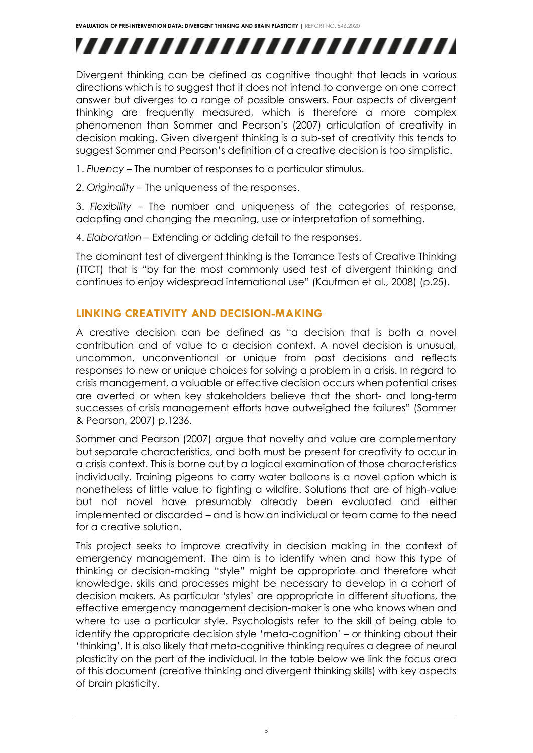Divergent thinking can be defined as cognitive thought that leads in various directions which is to suggest that it does not intend to converge on one correct answer but diverges to a range of possible answers. Four aspects of divergent thinking are frequently measured, which is therefore a more complex phenomenon than Sommer and Pearson's (2007) articulation of creativity in decision making. Given divergent thinking is a sub-set of creativity this tends to suggest Sommer and Pearson's definition of a creative decision is too simplistic.

- 1. *Fluency* The number of responses to a particular stimulus.
- 2. *Originality* The uniqueness of the responses.

3. *Flexibility* – The number and uniqueness of the categories of response, adapting and changing the meaning, use or interpretation of something.

4. *Elaboration* – Extending or adding detail to the responses.

The dominant test of divergent thinking is the Torrance Tests of Creative Thinking (TTCT) that is "by far the most commonly used test of divergent thinking and continues to enjoy widespread international use" (Kaufman et al., 2008) (p.25).

#### <span id="page-5-0"></span>**LINKING CREATIVITY AND DECISION-MAKING**

A creative decision can be defined as "a decision that is both a novel contribution and of value to a decision context. A novel decision is unusual, uncommon, unconventional or unique from past decisions and reflects responses to new or unique choices for solving a problem in a crisis. In regard to crisis management, a valuable or effective decision occurs when potential crises are averted or when key stakeholders believe that the short- and long-term successes of crisis management efforts have outweighed the failures" (Sommer & Pearson, 2007) p.1236.

Sommer and Pearson (2007) argue that novelty and value are complementary but separate characteristics, and both must be present for creativity to occur in a crisis context. This is borne out by a logical examination of those characteristics individually. Training pigeons to carry water balloons is a novel option which is nonetheless of little value to fighting a wildfire. Solutions that are of high-value but not novel have presumably already been evaluated and either implemented or discarded – and is how an individual or team came to the need for a creative solution.

This project seeks to improve creativity in decision making in the context of emergency management. The aim is to identify when and how this type of thinking or decision-making "style" might be appropriate and therefore what knowledge, skills and processes might be necessary to develop in a cohort of decision makers. As particular 'styles' are appropriate in different situations, the effective emergency management decision-maker is one who knows when and where to use a particular style. Psychologists refer to the skill of being able to identify the appropriate decision style 'meta-cognition' – or thinking about their 'thinking'. It is also likely that meta-cognitive thinking requires a degree of neural plasticity on the part of the individual. In the table below we link the focus area of this document (creative thinking and divergent thinking skills) with key aspects of brain plasticity.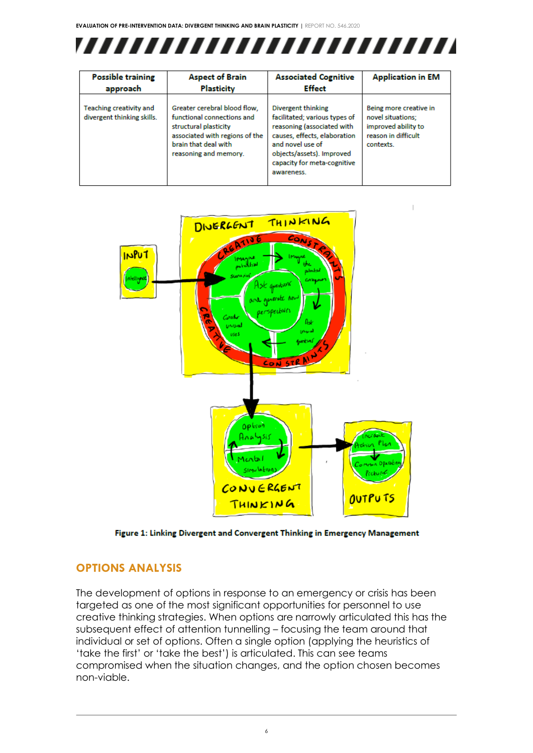

| <b>Possible training</b>                                     | <b>Aspect of Brain</b>                                                                                                                                                 | <b>Associated Cognitive</b>                                                                                                                                                                                     | <b>Application in EM</b>                                                                               |
|--------------------------------------------------------------|------------------------------------------------------------------------------------------------------------------------------------------------------------------------|-----------------------------------------------------------------------------------------------------------------------------------------------------------------------------------------------------------------|--------------------------------------------------------------------------------------------------------|
| approach                                                     | Plasticity                                                                                                                                                             | <b>Effect</b>                                                                                                                                                                                                   |                                                                                                        |
| <b>Teaching creativity and</b><br>divergent thinking skills. | Greater cerebral blood flow.<br>functional connections and<br>structural plasticity<br>associated with regions of the<br>brain that deal with<br>reasoning and memory. | Divergent thinking<br>facilitated; various types of<br>reasoning (associated with<br>causes, effects, elaboration<br>and novel use of<br>objects/assets). Improved<br>capacity for meta-cognitive<br>awareness. | Being more creative in<br>novel situations;<br>improved ability to<br>reason in difficult<br>contexts. |



Figure 1: Linking Divergent and Convergent Thinking in Emergency Management

### <span id="page-6-0"></span>**OPTIONS ANALYSIS**

The development of options in response to an emergency or crisis has been targeted as one of the most significant opportunities for personnel to use creative thinking strategies. When options are narrowly articulated this has the subsequent effect of attention tunnelling – focusing the team around that individual or set of options. Often a single option (applying the heuristics of 'take the first' or 'take the best') is articulated. This can see teams compromised when the situation changes, and the option chosen becomes non-viable.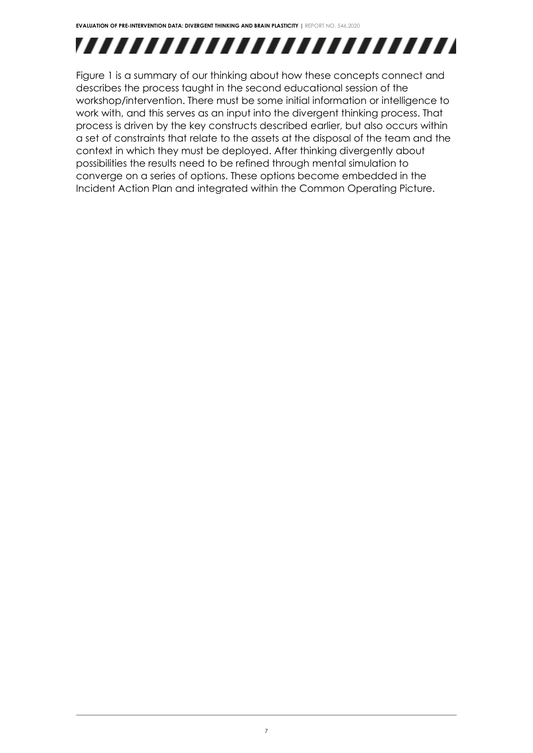

Figure 1 is a summary of our thinking about how these concepts connect and describes the process taught in the second educational session of the workshop/intervention. There must be some initial information or intelligence to work with, and this serves as an input into the divergent thinking process. That process is driven by the key constructs described earlier, but also occurs within a set of constraints that relate to the assets at the disposal of the team and the context in which they must be deployed. After thinking divergently about possibilities the results need to be refined through mental simulation to converge on a series of options. These options become embedded in the Incident Action Plan and integrated within the Common Operating Picture.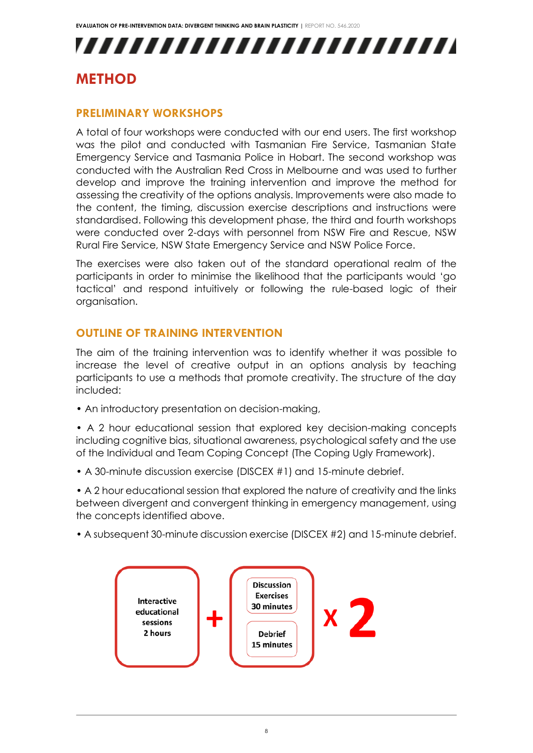# ,,,,,,,,,,,,,,,,,,,,,,,,,,

### <span id="page-8-1"></span><span id="page-8-0"></span>**METHOD**

### **PRELIMINARY WORKSHOPS**

A total of four workshops were conducted with our end users. The first workshop was the pilot and conducted with Tasmanian Fire Service, Tasmanian State Emergency Service and Tasmania Police in Hobart. The second workshop was conducted with the Australian Red Cross in Melbourne and was used to further develop and improve the training intervention and improve the method for assessing the creativity of the options analysis. Improvements were also made to the content, the timing, discussion exercise descriptions and instructions were standardised. Following this development phase, the third and fourth workshops were conducted over 2-days with personnel from NSW Fire and Rescue, NSW Rural Fire Service, NSW State Emergency Service and NSW Police Force.

The exercises were also taken out of the standard operational realm of the participants in order to minimise the likelihood that the participants would 'go tactical' and respond intuitively or following the rule-based logic of their organisation.

### <span id="page-8-2"></span>**OUTLINE OF TRAINING INTERVENTION**

The aim of the training intervention was to identify whether it was possible to increase the level of creative output in an options analysis by teaching participants to use a methods that promote creativity. The structure of the day included:

• An introductory presentation on decision-making,

• A 2 hour educational session that explored key decision-making concepts including cognitive bias, situational awareness, psychological safety and the use of the Individual and Team Coping Concept (The Coping Ugly Framework).

• A 30-minute discussion exercise (DISCEX #1) and 15-minute debrief.

• A 2 hour educational session that explored the nature of creativity and the links between divergent and convergent thinking in emergency management, using the concepts identified above.

• A subsequent 30-minute discussion exercise (DISCEX #2) and 15-minute debrief.

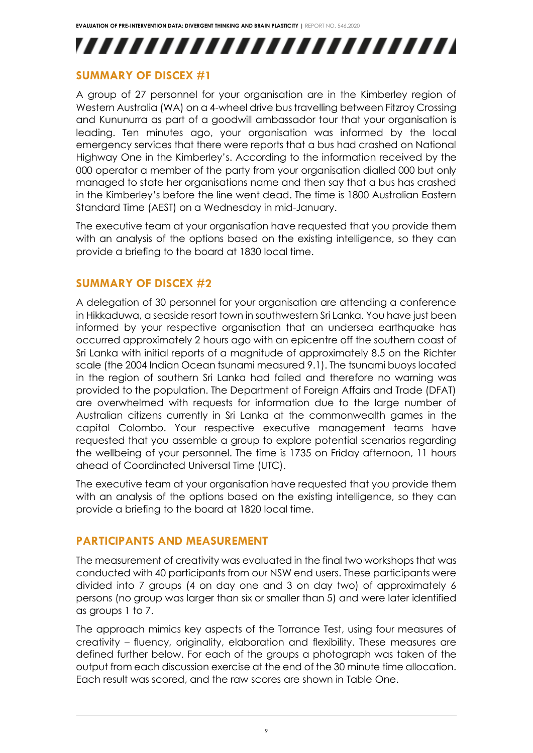### <span id="page-9-0"></span>**SUMMARY OF DISCEX #1**

A group of 27 personnel for your organisation are in the Kimberley region of Western Australia (WA) on a 4-wheel drive bus travelling between Fitzroy Crossing and Kununurra as part of a goodwill ambassador tour that your organisation is leading. Ten minutes ago, your organisation was informed by the local emergency services that there were reports that a bus had crashed on National Highway One in the Kimberley's. According to the information received by the 000 operator a member of the party from your organisation dialled 000 but only managed to state her organisations name and then say that a bus has crashed in the Kimberley's before the line went dead. The time is 1800 Australian Eastern Standard Time (AEST) on a Wednesday in mid-January.

The executive team at your organisation have requested that you provide them with an analysis of the options based on the existing intelligence, so they can provide a briefing to the board at 1830 local time.

### <span id="page-9-1"></span>**SUMMARY OF DISCEX #2**

A delegation of 30 personnel for your organisation are attending a conference in Hikkaduwa, a seaside resort town in southwestern Sri Lanka. You have just been informed by your respective organisation that an undersea earthquake has occurred approximately 2 hours ago with an epicentre off the southern coast of Sri Lanka with initial reports of a magnitude of approximately 8.5 on the Richter scale (the 2004 Indian Ocean tsunami measured 9.1). The tsunami buoys located in the region of southern Sri Lanka had failed and therefore no warning was provided to the population. The Department of Foreign Affairs and Trade (DFAT) are overwhelmed with requests for information due to the large number of Australian citizens currently in Sri Lanka at the commonwealth games in the capital Colombo. Your respective executive management teams have requested that you assemble a group to explore potential scenarios regarding the wellbeing of your personnel. The time is 1735 on Friday afternoon, 11 hours ahead of Coordinated Universal Time (UTC).

The executive team at your organisation have requested that you provide them with an analysis of the options based on the existing intelligence, so they can provide a briefing to the board at 1820 local time.

#### <span id="page-9-2"></span>**PARTICIPANTS AND MEASUREMENT**

The measurement of creativity was evaluated in the final two workshops that was conducted with 40 participants from our NSW end users. These participants were divided into 7 groups (4 on day one and 3 on day two) of approximately 6 persons (no group was larger than six or smaller than 5) and were later identified as groups 1 to 7.

The approach mimics key aspects of the Torrance Test, using four measures of creativity – fluency, originality, elaboration and flexibility. These measures are defined further below. For each of the groups a photograph was taken of the output from each discussion exercise at the end of the 30 minute time allocation. Each result was scored, and the raw scores are shown in Table One.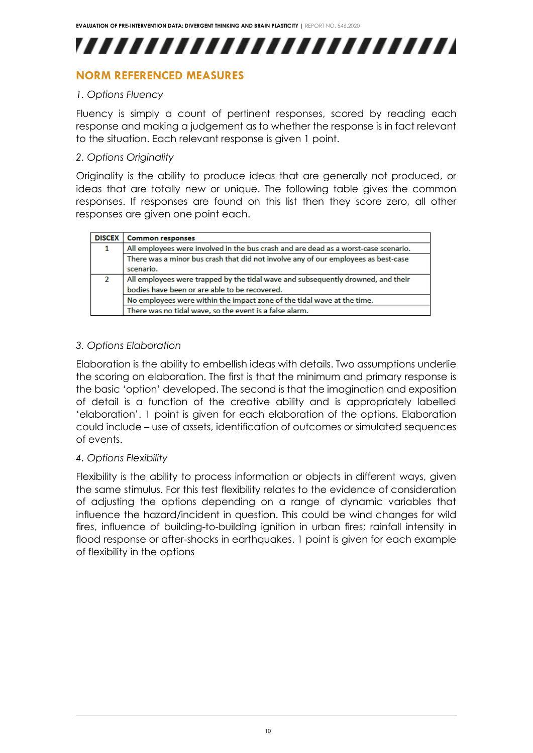### <span id="page-10-0"></span>**NORM REFERENCED MEASURES**

#### *1. Options Fluency*

Fluency is simply a count of pertinent responses, scored by reading each response and making a judgement as to whether the response is in fact relevant to the situation. Each relevant response is given 1 point.

#### *2. Options Originality*

Originality is the ability to produce ideas that are generally not produced, or ideas that are totally new or unique. The following table gives the common responses. If responses are found on this list then they score zero, all other responses are given one point each.

| <b>DISCEX</b> | <b>Common responses</b>                                                             |
|---------------|-------------------------------------------------------------------------------------|
|               | All employees were involved in the bus crash and are dead as a worst-case scenario. |
|               | There was a minor bus crash that did not involve any of our employees as best-case  |
|               | scenario.                                                                           |
| 2             | All employees were trapped by the tidal wave and subsequently drowned, and their    |
|               | bodies have been or are able to be recovered.                                       |
|               | No employees were within the impact zone of the tidal wave at the time.             |
|               | There was no tidal wave, so the event is a false alarm.                             |

#### *3. Options Elaboration*

Elaboration is the ability to embellish ideas with details. Two assumptions underlie the scoring on elaboration. The first is that the minimum and primary response is the basic 'option' developed. The second is that the imagination and exposition of detail is a function of the creative ability and is appropriately labelled 'elaboration'. 1 point is given for each elaboration of the options. Elaboration could include – use of assets, identification of outcomes or simulated sequences of events.

#### *4. Options Flexibility*

Flexibility is the ability to process information or objects in different ways, given the same stimulus. For this test flexibility relates to the evidence of consideration of adjusting the options depending on a range of dynamic variables that influence the hazard/incident in question. This could be wind changes for wild fires, influence of building-to-building ignition in urban fires; rainfall intensity in flood response or after-shocks in earthquakes. 1 point is given for each example of flexibility in the options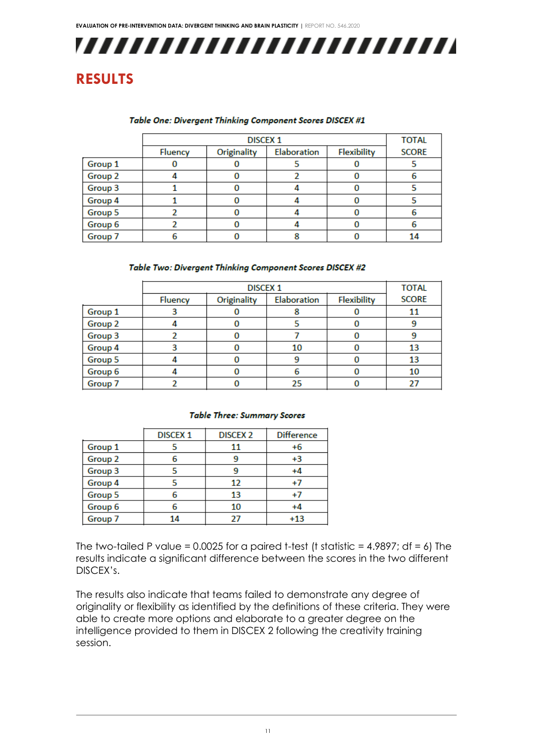### <span id="page-11-0"></span>**RESULTS**

#### Table One: Divergent Thinking Component Scores DISCEX #1

|         | <b>DISCEX 1</b> |             |             |             | <b>TOTAL</b> |
|---------|-----------------|-------------|-------------|-------------|--------------|
|         | <b>Fluency</b>  | Originality | Elaboration | Flexibility | <b>SCORE</b> |
| Group 1 |                 |             |             |             |              |
| Group 2 |                 |             |             |             |              |
| Group 3 |                 |             |             |             |              |
| Group 4 |                 |             |             |             |              |
| Group 5 |                 |             |             |             |              |
| Group 6 |                 |             |             |             |              |
| Group 7 |                 |             |             |             | 14           |

#### Table Two: Divergent Thinking Component Scores DISCEX #2

|         | <b>DISCEX 1</b> |             |             |             | <b>TOTAL</b> |
|---------|-----------------|-------------|-------------|-------------|--------------|
|         | <b>Fluency</b>  | Originality | Elaboration | Flexibility | <b>SCORE</b> |
| Group 1 |                 |             |             |             | 11           |
| Group 2 |                 |             |             |             |              |
| Group 3 |                 |             |             |             |              |
| Group 4 |                 |             | 10          |             | 13           |
| Group 5 |                 |             | 9           |             | 13           |
| Group 6 |                 |             | 6           |             | 10           |
| Group 7 |                 |             | 25          |             |              |

#### **Table Three: Summary Scores**

|         | <b>DISCEX 1</b> | <b>DISCEX 2</b> | <b>Difference</b> |  |
|---------|-----------------|-----------------|-------------------|--|
| Group 1 |                 | 11              | +6                |  |
| Group 2 | 6               |                 | $+3$              |  |
| Group 3 | 5               |                 | $+4$              |  |
| Group 4 | 5               | 12              | $+7$              |  |
| Group 5 | 6               | 13              | $+7$              |  |
| Group 6 | 6               | 10              | +4                |  |
| Group 7 | 14              | 27              | $+13$             |  |
|         |                 |                 |                   |  |

The two-tailed P value = 0.0025 for a paired t-test (t statistic =  $4.9897$ ; df =  $6$ ) The results indicate a significant difference between the scores in the two different DISCEX's.

The results also indicate that teams failed to demonstrate any degree of originality or flexibility as identified by the definitions of these criteria. They were able to create more options and elaborate to a greater degree on the intelligence provided to them in DISCEX 2 following the creativity training session.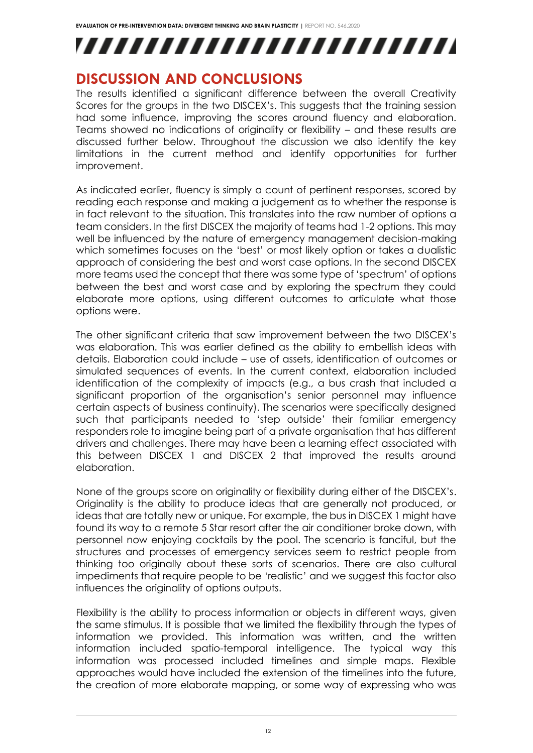### <span id="page-12-0"></span>**DISCUSSION AND CONCLUSIONS**

The results identified a significant difference between the overall Creativity Scores for the groups in the two DISCEX's. This suggests that the training session had some influence, improving the scores around fluency and elaboration. Teams showed no indications of originality or flexibility – and these results are discussed further below. Throughout the discussion we also identify the key limitations in the current method and identify opportunities for further improvement.

As indicated earlier, fluency is simply a count of pertinent responses, scored by reading each response and making a judgement as to whether the response is in fact relevant to the situation. This translates into the raw number of options a team considers. In the first DISCEX the majority of teams had 1-2 options. This may well be influenced by the nature of emergency management decision-making which sometimes focuses on the 'best' or most likely option or takes a dualistic approach of considering the best and worst case options. In the second DISCEX more teams used the concept that there was some type of 'spectrum' of options between the best and worst case and by exploring the spectrum they could elaborate more options, using different outcomes to articulate what those options were.

The other significant criteria that saw improvement between the two DISCEX's was elaboration. This was earlier defined as the ability to embellish ideas with details. Elaboration could include – use of assets, identification of outcomes or simulated sequences of events. In the current context, elaboration included identification of the complexity of impacts (e.g., a bus crash that included a significant proportion of the organisation's senior personnel may influence certain aspects of business continuity). The scenarios were specifically designed such that participants needed to 'step outside' their familiar emergency responders role to imagine being part of a private organisation that has different drivers and challenges. There may have been a learning effect associated with this between DISCEX 1 and DISCEX 2 that improved the results around elaboration.

None of the groups score on originality or flexibility during either of the DISCEX's. Originality is the ability to produce ideas that are generally not produced, or ideas that are totally new or unique. For example, the bus in DISCEX 1 might have found its way to a remote 5 Star resort after the air conditioner broke down, with personnel now enjoying cocktails by the pool. The scenario is fanciful, but the structures and processes of emergency services seem to restrict people from thinking too originally about these sorts of scenarios. There are also cultural impediments that require people to be 'realistic' and we suggest this factor also influences the originality of options outputs.

Flexibility is the ability to process information or objects in different ways, given the same stimulus. It is possible that we limited the flexibility through the types of information we provided. This information was written, and the written information included spatio-temporal intelligence. The typical way this information was processed included timelines and simple maps. Flexible approaches would have included the extension of the timelines into the future, the creation of more elaborate mapping, or some way of expressing who was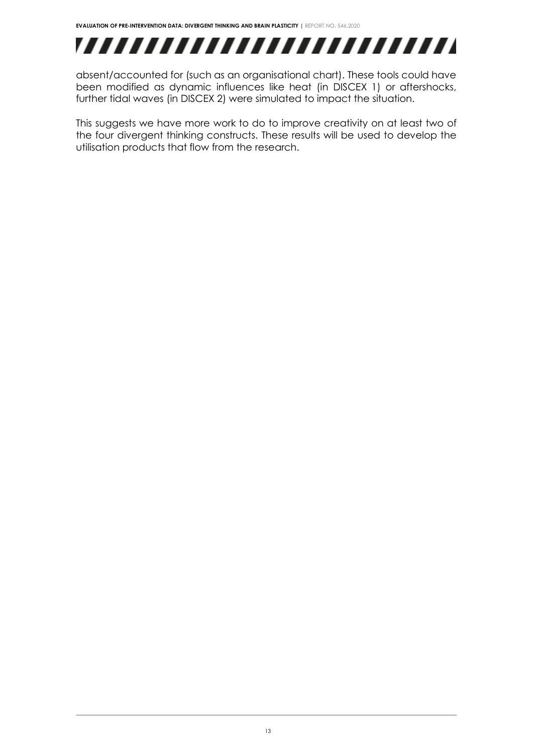absent/accounted for (such as an organisational chart). These tools could have been modified as dynamic influences like heat (in DISCEX 1) or aftershocks, further tidal waves (in DISCEX 2) were simulated to impact the situation.

This suggests we have more work to do to improve creativity on at least two of the four divergent thinking constructs. These results will be used to develop the utilisation products that flow from the research.